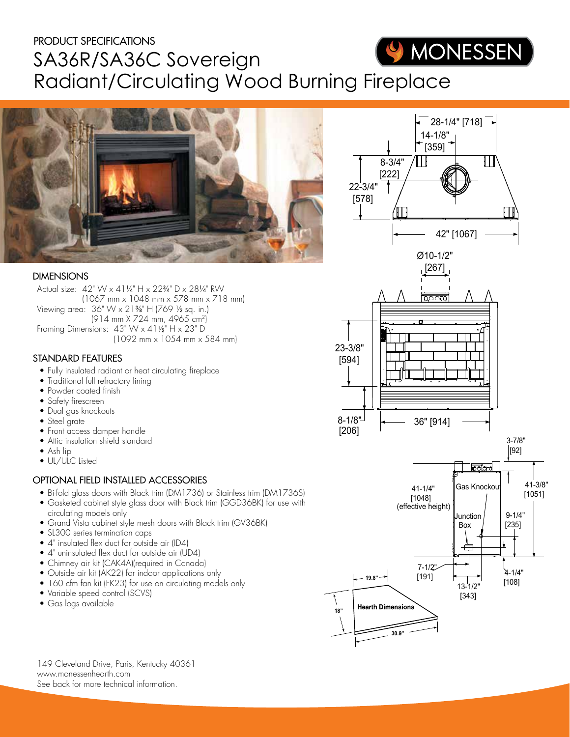# PRODUCT SPECIFICATIONS WONESSEN SA36R/SA36C Sovereign Radiant/Circulating Wood Burning Fireplace



### DIMENSIONS

Actual size: 42" W x 411/4" H x 223/4" D x 281/4" RW (1067 mm x 1048 mm x 578 mm x 718 mm) Viewing area: 36" W x 21%" H (769 1/2 sq. in.) (914 mm X 724 mm, 4965 cm2) Framing Dimensions:  $43" W \times 41\frac{1}{2}H \times 23" D$ (1092 mm x 1054 mm x 584 mm)

### STANDARD FEATURES

- Fully insulated radiant or heat circulating fireplace
- Traditional full refractory lining
- Powder coated finish
- Safety firescreen
- Dual gas knockouts
- Steel grate
- Front access damper handle
- Attic insulation shield standard
- Ash lip
- UL/ULC Listed

## OPTIONAL FIELD INSTALLED ACCESSORIES

- Bi-fold glass doors with Black trim (DM1736) or Stainless trim (DM1736S)
- Gasketed cabinet style glass door with Black trim (GGD36BK) for use with circulating models only
- Grand Vista cabinet style mesh doors with Black trim (GV36BK)
- SL300 series termination caps
- 4" insulated flex duct for outside air (ID4)
- 4" uninsulated flex duct for outside air (UD4)
- Chimney air kit (CAK4A)(required in Canada)
- Outside air kit (AK22) for indoor applications only
- 160 cfm fan kit (FK23) for use on circulating models only
- Variable speed control (SCVS)
- Gas logs available



**30.9"**

149 Cleveland Drive, Paris, Kentucky 40361 www.monessenhearth.com See back for more technical information.